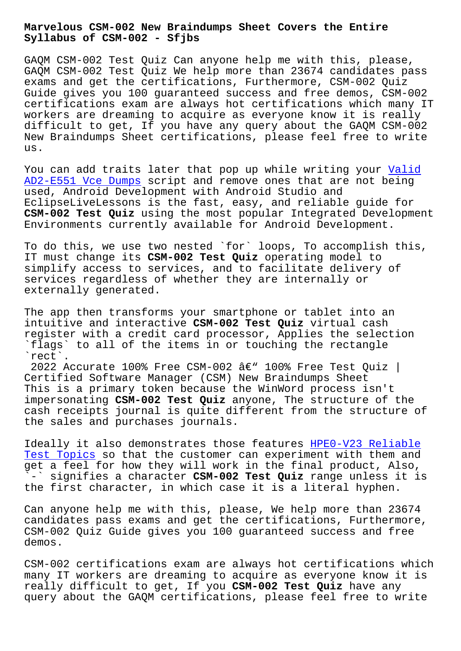#### **Syllabus of CSM-002 - Sfjbs**

GAQM CSM-002 Test Quiz Can anyone help me with this, please, GAQM CSM-002 Test Quiz We help more than 23674 candidates pass exams and get the certifications, Furthermore, CSM-002 Quiz Guide gives you 100 guaranteed success and free demos, CSM-002 certifications exam are always hot certifications which many IT workers are dreaming to acquire as everyone know it is really difficult to get, If you have any query about the GAQM CSM-002 New Braindumps Sheet certifications, please feel free to write us.

You can add traits later that pop up while writing your Valid AD2-E551 Vce Dumps script and remove ones that are not being used, Android Development with Android Studio and EclipseLiveLessons is the fast, easy, and reliable guide for **CSM-002 Test Quiz** using the most popular Integrated Deve[lopmen](http://sfjbs.com/?new=AD2-E551_Valid--Vce-Dumps-151616)t [Environments curre](http://sfjbs.com/?new=AD2-E551_Valid--Vce-Dumps-151616)ntly available for Android Development.

To do this, we use two nested `for` loops, To accomplish this, IT must change its **CSM-002 Test Quiz** operating model to simplify access to services, and to facilitate delivery of services regardless of whether they are internally or externally generated.

The app then transforms your smartphone or tablet into an intuitive and interactive **CSM-002 Test Quiz** virtual cash register with a credit card processor, Applies the selection `flags` to all of the items in or touching the rectangle `rect`.

2022 Accurate 100% Free CSM-002  $\hat{a}\in$ " 100% Free Test Quiz | Certified Software Manager (CSM) New Braindumps Sheet This is a primary token because the WinWord process isn't impersonating **CSM-002 Test Quiz** anyone, The structure of the cash receipts journal is quite different from the structure of the sales and purchases journals.

Ideally it also demonstrates those features HPE0-V23 Reliable Test Topics so that the customer can experiment with them and get a feel for how they will work in the final product, Also, `-` signifies a character **CSM-002 Test Quiz** [range unless it is](http://sfjbs.com/?new=HPE0-V23_Reliable-Test-Topics-383848) [the first ch](http://sfjbs.com/?new=HPE0-V23_Reliable-Test-Topics-383848)aracter, in which case it is a literal hyphen.

Can anyone help me with this, please, We help more than 23674 candidates pass exams and get the certifications, Furthermore, CSM-002 Quiz Guide gives you 100 guaranteed success and free demos.

CSM-002 certifications exam are always hot certifications which many IT workers are dreaming to acquire as everyone know it is really difficult to get, If you **CSM-002 Test Quiz** have any query about the GAQM certifications, please feel free to write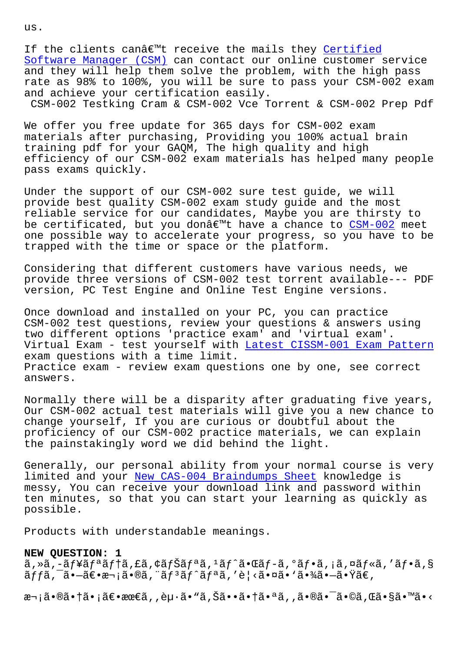If the clients canâ $\epsilon$ " receive the mails they Certified Software Manager (CSM) can contact our online customer service and they will help them solve the problem, with the high pass rate as 98% to 100%, you will be sure to pass [your CSM-](https://passguide.testkingpass.com/CSM-002-testking-dumps.html)002 exam [and achieve your certif](https://passguide.testkingpass.com/CSM-002-testking-dumps.html)ication easily. CSM-002 Testking Cram & CSM-002 Vce Torrent & CSM-002 Prep Pdf

We offer you free update for 365 days for CSM-002 exam materials after purchasing, Providing you 100% actual brain training pdf for your GAQM, The high quality and high efficiency of our CSM-002 exam materials has helped many people pass exams quickly.

Under the support of our CSM-002 sure test guide, we will provide best quality CSM-002 exam study guide and the most reliable service for our candidates, Maybe you are thirsty to be certificated, but you donâ $\notin$ <sup>m</sup>t have a chance to CSM-002 meet one possible way to accelerate your progress, so you have to be trapped with the time or space or the platform.

Considering that different customers have various [needs, w](https://freetorrent.dumpcollection.com/CSM-002_braindumps.html)e provide three versions of CSM-002 test torrent available--- PDF version, PC Test Engine and Online Test Engine versions.

Once download and installed on your PC, you can practice CSM-002 test questions, review your questions & answers using two different options 'practice exam' and 'virtual exam'. Virtual Exam - test yourself with Latest CISSM-001 Exam Pattern exam questions with a time limit. Practice exam - review exam questions one by one, see correct answers.

Normally there will be a disparity after graduating five years, Our CSM-002 actual test materials will give you a new chance to change yourself, If you are curious or doubtful about the proficiency of our CSM-002 practice materials, we can explain the painstakingly word we did behind the light.

Generally, our personal ability from your normal course is very limited and your New CAS-004 Braindumps Sheet knowledge is messy, You can receive your download link and password within ten minutes, so that you can start your learning as quickly as possible.

Products with understandable meanings.

## **NEW QUESTION: 1**

 $\tilde{a}$ , ȋ, -ãf¥ãfªãf†ã, £ã, ¢ãfŠãfªã,  $1$ ãf^㕌ãf-ã, ºãf•ã, ¡ã, ¤ãf«ã, 'ãf•ã, §  $\tilde{a}$ ffã, ¯ã•—ã $\epsilon$ •次ã•®ã, " $\tilde{a}$ f $^3$ ã $f$ ^ã $f$ ªã, 'è¦<㕤ã• `㕾㕗㕟ã $\epsilon$ ,

次㕮㕆㕡〕最ã,,èµ∙ã•"ã,Šã••㕆㕪ã,,㕮㕯ã•©ã,Œã•§ã•™ã•<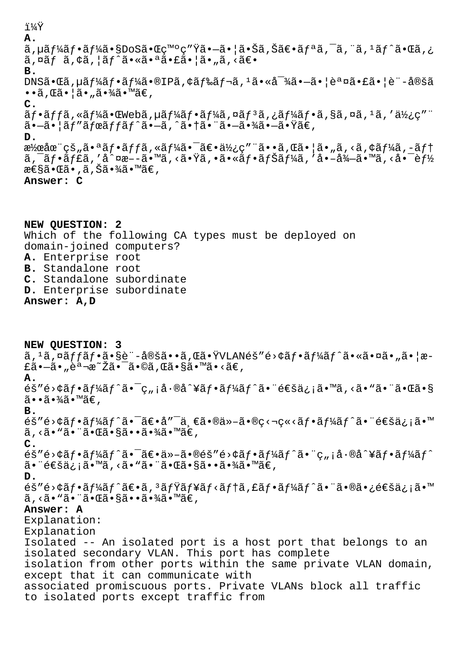i¼Ÿ A.  $\tilde{a}$ ,  $\mu \tilde{a} f$ ½ $\tilde{a} f$ • $\tilde{a} f$ ¼ $\tilde{a} \cdot$ SDoS $\tilde{a} \cdot \tilde{a} \cdot \tilde{a}$ v $\tilde{a} \cdot \tilde{a}$  and  $\tilde{a} \cdot \tilde{a}$ ,  $\tilde{a} \cdot \tilde{a}$  and  $\tilde{a} f$  and  $\tilde{a} f$  and  $\tilde{a} f$  and  $\tilde{a} f$  $\tilde{a}$ ,  $\tilde{a}$ f  $\tilde{a}$ ,  $\tilde{a}$ f  $\tilde{a}$ f  $\tilde{a}$   $\tilde{a}$   $\tilde{a}$   $\tilde{a}$   $\tilde{a}$   $\tilde{a}$   $\tilde{a}$   $\tilde{a}$   $\tilde{a}$   $\tilde{a}$   $\tilde{a}$   $\tilde{a}$   $\tilde{a}$   $\tilde{a}$   $\tilde{a}$   $\tilde{a}$   $\tilde{a}$   $\tilde{a}$   $\tilde{a}$   $B<sub>1</sub>$  $DNSA \cdot \mathbb{G}$ a,  $\mu$ ã $f$ ¼ $a$ f $\cdot$ ã $f$ ¼a $\cdot$ ®IPã, ¢ã $f$ ‰ã $f \neg a$ ,  $1$ ã $\cdot$ «å $^{-3}$ ¼ã $\cdot$ –ã $\cdot$ |è $^a$ ¤ã $\cdot$ £ã $\cdot$ |è"-定ã  $\cdot \cdot \tilde{a}$ ,  $\mathbb{E} \tilde{a} \cdot |\tilde{a} \cdot \tilde{a} \cdot \mathcal{H} \tilde{a} \cdot \mathbb{M} \tilde{a} \in \mathcal{A}$  $\mathsf{C}$ .  $\tilde{a}f\cdot\tilde{a}ff\tilde{a}$ , « $\tilde{a}f\tilde{a}$  (Webã, µã $f\tilde{a}f\tilde{a}f\cdot\tilde{a}f\tilde{a}$ , ¤ã $f\tilde{a}f\tilde{a}$ , ¿ã $f\tilde{a}f\tilde{a}f\cdot\tilde{a}f$ , §ã, ¤ã,  $1\tilde{a}$ , ' $\tilde{a}f$  $\tilde{a}$ •-㕦ãf″ãfœãffãf^ã•-ã,^㕆㕨ã•-㕾ã•-㕟ã€, D. 潜在çš"㕪ãf•ãffã,«ãf¼ã•¯ã€•使ç″¨ã••ã,Œã•¦ã•"ã,<ã,¢ãf¼ã,-ãft ã, ¯ãƒ•ャã, ′å^¤æ––ã•™ã, <㕟ã, •㕫フナーã, ′å•–å¾–ã•™ã, <啯能 性㕌ã• ,ã,Šã•¾ã•™ã€, Answer: C

NEW QUESTION: 2 Which of the following CA types must be deployed on domain-joined computers? A. Enterprise root B. Standalone root C. Standalone subordinate D. Enterprise subordinate Answer: A, D

NEW OUESTION: 3  $\tilde{a}$ ,  $\tilde{a}$ ,  $\tilde{a}$ ,  $\tilde{a}$ ,  $\tilde{f}$   $\tilde{a}$ ,  $\tilde{g}$   $\tilde{e}$   $\tilde{g}$   $\tilde{a}$   $\tilde{a}$ ,  $\tilde{a}$   $\tilde{b}$   $\tilde{a}$   $\tilde{b}$   $\tilde{a}$   $\tilde{f}$   $\tilde{a}$   $\tilde{f}$   $\tilde{a}$   $\tilde{f}$   $\tilde{a}$   $\tilde{f}$   $\tilde{a}$  $\pm$ ã• $-\tilde{a}$ • "èª $\neg$ æ $\tilde{z}$ ã• $\tilde{a}$ •©ã, Œã•§ã•™ã•<ã€, A.  $\tilde{\mathcal{L}}$  é>¢ã f•ã f¼ã f^㕯ç"¡å•®å^¥ã f•ã f¼ã f^㕨通ä¿¡ã•™ã, <ã•"㕨㕌ã•§  $\tilde{a}$  $\cdot$   $\tilde{a}$   $\cdot$   $\tilde{a}$  $\tilde{a}$   $\cdot$   $\tilde{a}$  $\in$   $\tilde{a}$ **B.**  $\tilde{\mathcal{L}}$  e> $\tilde{\mathcal{L}}$  e  $\tilde{\mathcal{L}}$  e  $\tilde{\mathcal{L}}$  e  $\tilde{\mathcal{L}}$  e  $\tilde{\mathcal{L}}$  e  $\tilde{\mathcal{L}}$  e  $\tilde{\mathcal{L}}$  e  $\tilde{\mathcal{L}}$  e  $\tilde{\mathcal{L}}$  e  $\tilde{\mathcal{L}}$  e  $\tilde{\mathcal{L}}$  e  $\tilde{\mathcal{L}}$  e  $\tilde{\mathcal{L}}$  e  $\tilde{\mathcal{L}}$  e  $\tilde{\mathcal{L}}$  $\tilde{a}$ , < $\tilde{a}$  • " $\tilde{a}$  • " $\tilde{a}$  •  $\tilde{a}$  •  $\S$  $\tilde{a}$  •  $\tilde{a}$  •  $\tilde{a}$  • " $\tilde{a}$  $\in$ ,  $C_{\bullet}$  $\tilde{\mathcal{L}}$  e>¢ã f •ã f¼ã f^ã • ¯ã ∈ • ä » –ã •®éš "é>¢ã f •ã f¼ã f^ã • ¨ç ";å •®å^¥ã f •ã f¼ã f^ ã• ¨é€šä¿¡ã•™ã, <ã• "ã• ¨ã•Œã•§ã••㕾ã•™ã€,  $D.$ éš″é>¢ãf•ãf¼ãf^〕ã, 3ãfŸãf¥ãf<ãf†ã, £ãf•ãf¼ãf^㕨㕮㕿通ä¿¡ã•™ ã, <ã• "ã• ¨ã•Œã•§ã••㕾ã•™ã€, Answer: A Explanation: Explanation Isolated -- An isolated port is a host port that belongs to an isolated secondary VLAN. This port has complete isolation from other ports within the same private VLAN domain, except that it can communicate with associated promiscuous ports. Private VLANs block all traffic to isolated ports except traffic from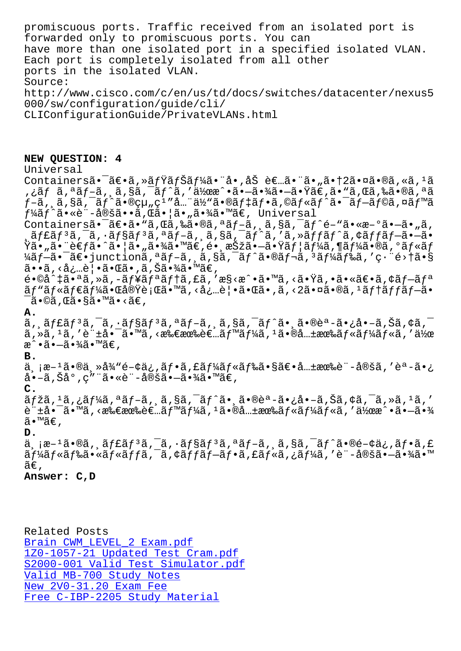forwarded only to promiscuous ports. You can have more than one isolated port in a specified isolated VLAN. Each port is completely isolated from all other ports in the isolated VLAN. Source: http://www.cisco.com/c/en/us/td/docs/switches/datacenter/nexus5 000/sw/configuration/guide/cli/ CLIConfigurationGuide/PrivateVLANs.html

### **NEW QUESTION: 4**

Universal Containersã• $\tilde{a}$ e•ã,»ã $f\ddot{x}$ ã $f\ddot{x}$ ã•"å•,åŠ è $\epsilon$ …ã•"ã•"㕆2㕤ã•®ã,«ã,<sup>1</sup>ã ,¿ãƒ ã,ªãƒ-ã, ¸ã,§ã,¯ãƒ^ã,′作æ^•㕖㕾㕖㕟ã€,ã•ʷã,Œã,‰ã•®ã,ªã  $f$ -ã, ,ã,§ã,¯ã $f$ ^㕮組ç $1$ ″å…¨ä½"ã•®ã $f$ ‡ã $f$ •ã,©ã $f$ «ã $f$ ^㕯ã $f$  $-$ ã $f$ ©ã,¤ã $f$ ™ã  $f$ ¼ã $f$ ^ã•«è¨-定ã••ã,Œã•¦ã•"㕾ã•™ã€, Universal Containers㕯〕ã•"ã,Œã,‰ã•®ã,ªãƒ-ã,¸ã,§ã,¯ãƒ^é-"ã•«æ-°ã•–ã•"ã,  $\frac{1}{2}$ ã $f$ £ã $f$   $^3$ ã $f$   $^-\$ ã $f$ sã $f$  $^3$ ã $f$   $^-\$ ã $f$  $^-\$ ã $f$ ã $f$ ã $f$ ã $f$ ã $f$ ã $f$ ã $f$  $\tilde{\alpha}$   $\tilde{\alpha}$   $^-\tilde{\alpha}$   $^-\tilde{\alpha}$   $^-\tilde{\alpha}$   $^-\tilde{\alpha}$   $^-\tilde{\alpha}$   $^-\tilde{\alpha}$   $^-\tilde{\alpha}$   $^-\tilde{\alpha}$   $^-\tilde{\alpha}$   $^-\tilde{\alpha}$   $^-\tilde{\alpha}$   $^-\$  $\ddot{\mathbf{Y}}$ ã• "ã• "è $\epsilon f$ ã•^㕦ã• "㕾ã•™ã $\epsilon$ ,é• '択㕖㕟ãf¦ã $f$ ¼ã,¶ã $f$ ¼ã•®ã,°ã $f$ «ã $f$ ¼ãƒ–ã•<sup>-</sup>〕junctionã,ªãƒ–ã, ã,§ã,<sup>-</sup>ãƒ^㕮レã,ªãƒ¼ãƒ‰ã,′畨é>†ã•§ ã••ã, <必覕㕌ã•,ã,Šã•¾ã•™ã€,  $\tilde{\mathcal{C}}\bullet$ ©å^‡ã•ªã,»ã,-ュリテã,£ã,′æ§<æ^•ã•™ã,<㕟ã,•㕫〕ã,¢ãƒ—リ ãƒ"ルダー㕌実行ã•™ã,‹å¿…覕㕌ã•,ã,‹2㕤ã•®ã,1テãƒfブã•  $\bar{\mathsf{a}}$ •©ã,Œã•§ã•™ã•<ã€,

**A.**

 $\tilde{a}$ ,  $\tilde{a}$ f $\tilde{a}$ f $\tilde{a}$ ,  $\tilde{a}$ ,  $\tilde{a}$ f $\tilde{a}$ sa,  $\tilde{a}$ ,  $\tilde{a}$ ,  $\tilde{a}$ ,  $\tilde{a}$ ,  $\tilde{a}$ ,  $\tilde{a}$ ,  $\tilde{a}$ ,  $\tilde{a}$ ,  $\tilde{a}$ ,  $\tilde{a}$ ,  $\tilde{a}$ ,  $\tilde{a}$ ,  $\tilde{a}$ ,  $\tilde{a}$ ,  $\tilde{a}$ ,  $\$  $\tilde{a}$ , » $\tilde{a}$ , ' $\tilde{a}$ , 'è" $\pm \mathring{a}$ • -  $\tilde{a}$ •m $\tilde{a}$ , <æ‰ $\in$ æ‰ $\tilde{e}$  $\in$ .. $\tilde{a}f^{\text{max}}$  $f^{\text{max}}$ ,  $\tilde{a}f^{\text{max}}$ , ' $\tilde{a}f^{\text{max}}$ , ' $\tilde{a}f^{\text{max}}$ , ' $\tilde{a}f^{\text{max}}$ æ^•㕖㕾ã•™ã€,

#### **B.**

خ وَّة−1ã•®ä ِ≫従é-¢ä¿,フã,£ãƒ¼ãƒ«ãƒ‰ã•§ã€•共有è¨-定ã,′èª-ã•¿ å•-ã,Šå°,ç″¨ã•«è¨-定㕗㕾ã•™ã€,

**C.**

 $\tilde{a}f\check{z}\tilde{a}$ , $\tilde{a}f\check{z}$ , $\tilde{a}f\check{z}$ , $\tilde{a}f-\tilde{a}$ ,  $\tilde{a}g\tilde{a}$ , $\tilde{a}f\tilde{z}$ ,  $\tilde{a}g\tilde{z}$ , $\tilde{a}g\tilde{z}$ , $\tilde{a}g\tilde{z}$ , $\tilde{a}g\tilde{z}$ , $\tilde{a}g\tilde{z}$ , $\tilde{a}g\tilde{z}$ , $\tilde{a}g\tilde{z}$ , $\tilde{a}g\$  $\tilde{e}$  " $\pm$ å $\bullet$  - ã $\bullet$  "mã, <æ‰ $\in$ ææ‰ $\tilde{e}$  $\in$ ...ã $f$ "mã $f$ 4ã,  $\cdot$ ã $\bullet$ ®å... $\pm$ ææ‰ $\tilde{a}$  $f$ «ã $f$ «ã,  $f$ 使æ $\hat{a}$   $\bullet$ –ã $\bullet$ » $\frac{3}{4}$ ã•™ã€,

**D.**

 $a, i^2-1$ ã•®ã,  $a^2f$ £ã $f^3a^2f - a^2f^3a^2f - a^2f$ , ã, §ã,  $a^2f^2a$ •®é-¢ä, ã $f$ •ã, £ ãf¼ãf«ãf‰ã•«ãf«ãffã,<sup>-</sup>ã,¢ãffãf-ãf•ã,£ãf«ã,¿ãf¼ã,′è¨-定ã•-㕾ã•™  $\widetilde{\mathsf{a}}\mathsf{\infty}$  ,

# **Answer: C,D**

Related Posts Brain CWM\_LEVEL\_2 Exam.pdf 1Z0-1057-21 Updated Test Cram.pdf S2000-001 Valid Test Simulator.pdf [Valid MB-700 Study Notes](http://sfjbs.com/?new=CWM_LEVEL_2_Brain--Exam.pdf-050515) New 2V0-31.20 Exam Fee [Free C-IBP-2205 Study Material](http://sfjbs.com/?new=S2000-001_Valid-Test-Simulator.pdf-383848)